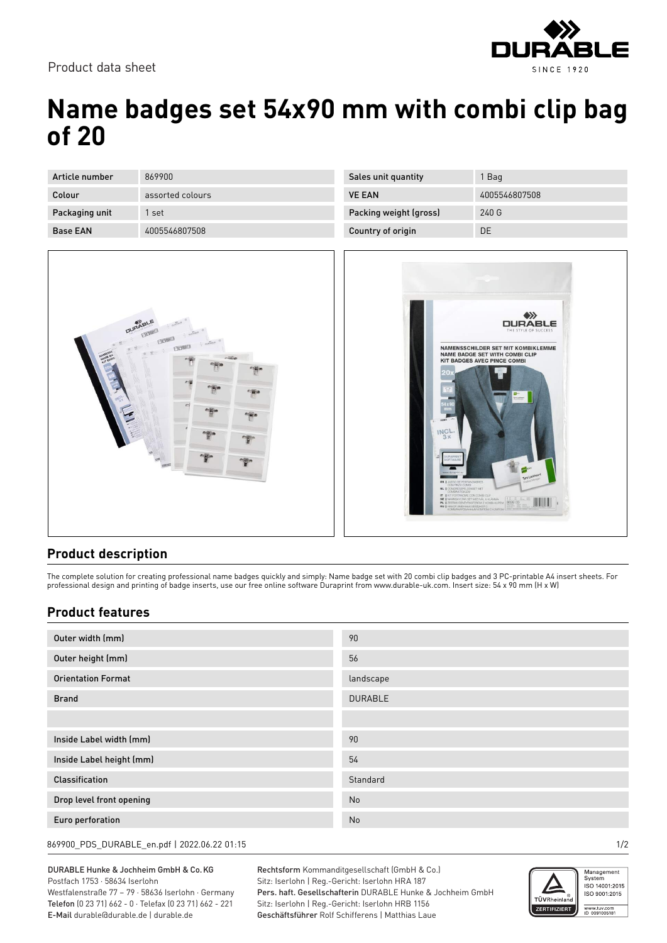

Product data sheet

## **Name badges set 54x90 mm with combi clip bag of 20**

| Article number  | 869900           |
|-----------------|------------------|
| Colour          | assorted colours |
| Packaging unit  | 1 set            |
| <b>Base FAN</b> | 4005546807508    |

| Sales unit quantity    | 1 Bag         |
|------------------------|---------------|
| <b>VE FAN</b>          | 4005546807508 |
| Packing weight (gross) | 240G          |
| Country of origin      | DE            |
|                        |               |





## **Product description**

The complete solution for creating professional name badges quickly and simply: Name badge set with 20 combi clip badges and 3 PC-printable A4 insert sheets. For professional design and printing of badge inserts, use our free online software Duraprint from www.durable-uk.com. Insert size: 54 x 90 mm (H x W)

## **Product features**

| Outer width (mm)          | 90             |
|---------------------------|----------------|
| Outer height (mm)         | 56             |
| <b>Orientation Format</b> | landscape      |
| <b>Brand</b>              | <b>DURABLE</b> |
|                           |                |
|                           |                |
| Inside Label width (mm)   | 90             |
| Inside Label height (mm)  | 54             |
| <b>Classification</b>     | Standard       |
| Drop level front opening  | No             |
| Euro perforation          | No             |
|                           |                |

869900\_PDS\_DURABLE\_en.pdf | 2022.06.22 01:15 1/2

DURABLE Hunke & Jochheim GmbH & Co.KG Postfach 1753 · 58634 Iserlohn Westfalenstraße 77 – 79 · 58636 Iserlohn · Germany Telefon (0 23 71) 662 - 0 · Telefax (0 23 71) 662 - 221 E-Mail durable@durable.de | durable.de

Rechtsform Kommanditgesellschaft (GmbH & Co.) Sitz: Iserlohn | Reg.-Gericht: Iserlohn HRA 187 Pers. haft. Gesellschafterin DURABLE Hunke & Jochheim GmbH Sitz: Iserlohn | Reg.-Gericht: Iserlohn HRB 1156 Geschäftsführer Rolf Schifferens | Matthias Laue